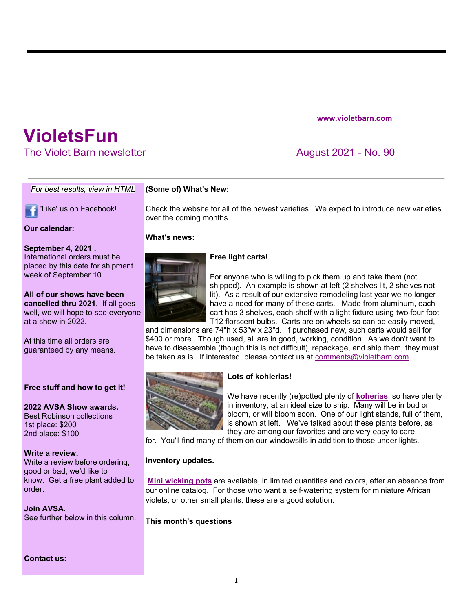**www.violetbarn.com**

# **VioletsFun**

The Violet Barn newsletter August 2021 - No. 90

#### *For best results, view in HTML*

'Like' us on Facebook!

## **Our calendar:**

# **September 4, 2021 .**

International orders must be placed by this date for shipment week of September 10.

#### **All of our shows have been cancelled thru 2021.** If all goes well, we will hope to see everyone

at a show in 2022.

At this time all orders are guaranteed by any means.

## **Free stuff and how to get it!**

**2022 AVSA Show awards.**  Best Robinson collections 1st place: \$200 2nd place: \$100

#### **Write a review.**

Write a review before ordering, good or bad, we'd like to know. Get a free plant added to order.

## **Join AVSA.**

See further below in this column.

**Contact us:**

## **(Some of) What's New:**

Check the website for all of the newest varieties. We expect to introduce new varieties over the coming months.

#### **What's news:**



# **Free light carts!**

For anyone who is willing to pick them up and take them (not shipped). An example is shown at left (2 shelves lit, 2 shelves not lit). As a result of our extensive remodeling last year we no longer have a need for many of these carts. Made from aluminum, each cart has 3 shelves, each shelf with a light fixture using two four-foot T12 florscent bulbs. Carts are on wheels so can be easily moved,

and dimensions are 74"h x 53"w x 23"d. If purchased new, such carts would sell for \$400 or more. Though used, all are in good, working, condition. As we don't want to have to disassemble (though this is not difficult), repackage, and ship them, they must be taken as is. If interested, please contact us at comments@violetbarn.com



## **Lots of kohlerias!**

We have recently (re)potted plenty of **koherias**, so have plenty in inventory, at an ideal size to ship. Many will be in bud or bloom, or will bloom soon. One of our light stands, full of them, is shown at left. We've talked about these plants before, as they are among our favorites and are very easy to care

for. You'll find many of them on our windowsills in addition to those under lights.

## **Inventory updates.**

**Mini wicking pots** are available, in limited quantities and colors, after an absence from our online catalog. For those who want a self-watering system for miniature African violets, or other small plants, these are a good solution.

**This month's questions**